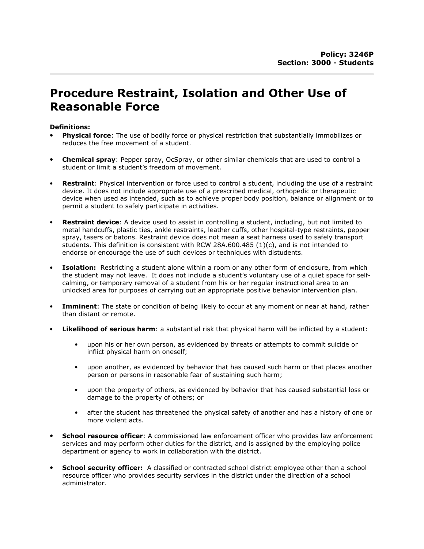# Procedure Restraint, Isolation and Other Use of Reasonable Force

## Definitions:

- **Physical force:** The use of bodily force or physical restriction that substantially immobilizes or reduces the free movement of a student.
- Chemical spray: Pepper spray, OcSpray, or other similar chemicals that are used to control a student or limit a student's freedom of movement.
- **Restraint:** Physical intervention or force used to control a student, including the use of a restraint device. It does not include appropriate use of a prescribed medical, orthopedic or therapeutic device when used as intended, such as to achieve proper body position, balance or alignment or to permit a student to safely participate in activities.
- **Restraint device:** A device used to assist in controlling a student, including, but not limited to metal handcuffs, plastic ties, ankle restraints, leather cuffs, other hospital-type restraints, pepper spray, tasers or batons. Restraint device does not mean a seat harness used to safely transport students. This definition is consistent with RCW 28A.600.485  $(1)(c)$ , and is not intended to endorse or encourage the use of such devices or techniques with distudents.
- Isolation: Restricting a student alone within a room or any other form of enclosure, from which the student may not leave. It does not include a student's voluntary use of a quiet space for selfcalming, or temporary removal of a student from his or her regular instructional area to an unlocked area for purposes of carrying out an appropriate positive behavior intervention plan.
- **Imminent**: The state or condition of being likely to occur at any moment or near at hand, rather than distant or remote.
- **Likelihood of serious harm:** a substantial risk that physical harm will be inflicted by a student:
	- upon his or her own person, as evidenced by threats or attempts to commit suicide or inflict physical harm on oneself;
	- upon another, as evidenced by behavior that has caused such harm or that places another person or persons in reasonable fear of sustaining such harm;
	- upon the property of others, as evidenced by behavior that has caused substantial loss or damage to the property of others; or
	- after the student has threatened the physical safety of another and has a history of one or more violent acts.
- **School resource officer:** A commissioned law enforcement officer who provides law enforcement services and may perform other duties for the district, and is assigned by the employing police department or agency to work in collaboration with the district.
- **School security officer:** A classified or contracted school district employee other than a school resource officer who provides security services in the district under the direction of a school administrator.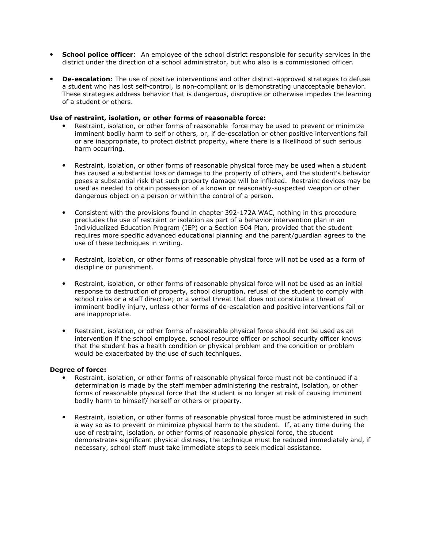- **School police officer:** An employee of the school district responsible for security services in the district under the direction of a school administrator, but who also is a commissioned officer.
- **De-escalation**: The use of positive interventions and other district-approved strategies to defuse a student who has lost self-control, is non-compliant or is demonstrating unacceptable behavior. These strategies address behavior that is dangerous, disruptive or otherwise impedes the learning of a student or others.

#### Use of restraint, isolation, or other forms of reasonable force:

- Restraint, isolation, or other forms of reasonable force may be used to prevent or minimize imminent bodily harm to self or others, or, if de-escalation or other positive interventions fail or are inappropriate, to protect district property, where there is a likelihood of such serious harm occurring.
- Restraint, isolation, or other forms of reasonable physical force may be used when a student has caused a substantial loss or damage to the property of others, and the student's behavior poses a substantial risk that such property damage will be inflicted. Restraint devices may be used as needed to obtain possession of a known or reasonably-suspected weapon or other dangerous object on a person or within the control of a person.
- Consistent with the provisions found in chapter 392-172A WAC, nothing in this procedure precludes the use of restraint or isolation as part of a behavior intervention plan in an Individualized Education Program (IEP) or a Section 504 Plan, provided that the student requires more specific advanced educational planning and the parent/guardian agrees to the use of these techniques in writing.
- Restraint, isolation, or other forms of reasonable physical force will not be used as a form of discipline or punishment.
- Restraint, isolation, or other forms of reasonable physical force will not be used as an initial response to destruction of property, school disruption, refusal of the student to comply with school rules or a staff directive; or a verbal threat that does not constitute a threat of imminent bodily injury, unless other forms of de-escalation and positive interventions fail or are inappropriate.
- Restraint, isolation, or other forms of reasonable physical force should not be used as an intervention if the school employee, school resource officer or school security officer knows that the student has a health condition or physical problem and the condition or problem would be exacerbated by the use of such techniques.

#### Degree of force:

- Restraint, isolation, or other forms of reasonable physical force must not be continued if a determination is made by the staff member administering the restraint, isolation, or other forms of reasonable physical force that the student is no longer at risk of causing imminent bodily harm to himself/ herself or others or property.
- Restraint, isolation, or other forms of reasonable physical force must be administered in such a way so as to prevent or minimize physical harm to the student. If, at any time during the use of restraint, isolation, or other forms of reasonable physical force, the student demonstrates significant physical distress, the technique must be reduced immediately and, if necessary, school staff must take immediate steps to seek medical assistance.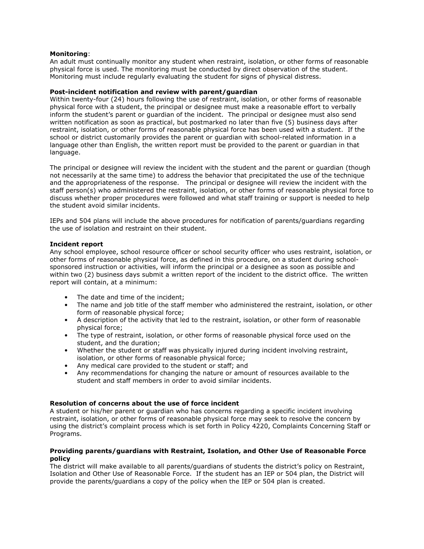### Monitoring:

An adult must continually monitor any student when restraint, isolation, or other forms of reasonable physical force is used. The monitoring must be conducted by direct observation of the student. Monitoring must include regularly evaluating the student for signs of physical distress.

### Post-incident notification and review with parent/guardian

Within twenty-four (24) hours following the use of restraint, isolation, or other forms of reasonable physical force with a student, the principal or designee must make a reasonable effort to verbally inform the student's parent or guardian of the incident. The principal or designee must also send written notification as soon as practical, but postmarked no later than five (5) business days after restraint, isolation, or other forms of reasonable physical force has been used with a student. If the school or district customarily provides the parent or guardian with school-related information in a language other than English, the written report must be provided to the parent or guardian in that language.

The principal or designee will review the incident with the student and the parent or guardian (though not necessarily at the same time) to address the behavior that precipitated the use of the technique and the appropriateness of the response. The principal or designee will review the incident with the staff person(s) who administered the restraint, isolation, or other forms of reasonable physical force to discuss whether proper procedures were followed and what staff training or support is needed to help the student avoid similar incidents.

IEPs and 504 plans will include the above procedures for notification of parents/guardians regarding the use of isolation and restraint on their student.

#### Incident report

Any school employee, school resource officer or school security officer who uses restraint, isolation, or other forms of reasonable physical force, as defined in this procedure, on a student during schoolsponsored instruction or activities, will inform the principal or a designee as soon as possible and within two (2) business days submit a written report of the incident to the district office. The written report will contain, at a minimum:

- The date and time of the incident;
- The name and job title of the staff member who administered the restraint, isolation, or other form of reasonable physical force;
- A description of the activity that led to the restraint, isolation, or other form of reasonable physical force;
- The type of restraint, isolation, or other forms of reasonable physical force used on the student, and the duration;
- Whether the student or staff was physically injured during incident involving restraint, isolation, or other forms of reasonable physical force;
- Any medical care provided to the student or staff; and
- Any recommendations for changing the nature or amount of resources available to the student and staff members in order to avoid similar incidents.

#### Resolution of concerns about the use of force incident

A student or his/her parent or guardian who has concerns regarding a specific incident involving restraint, isolation, or other forms of reasonable physical force may seek to resolve the concern by using the district's complaint process which is set forth in Policy 4220, Complaints Concerning Staff or Programs.

#### Providing parents/guardians with Restraint, Isolation, and Other Use of Reasonable Force policy

The district will make available to all parents/guardians of students the district's policy on Restraint, Isolation and Other Use of Reasonable Force. If the student has an IEP or 504 plan, the District will provide the parents/guardians a copy of the policy when the IEP or 504 plan is created.